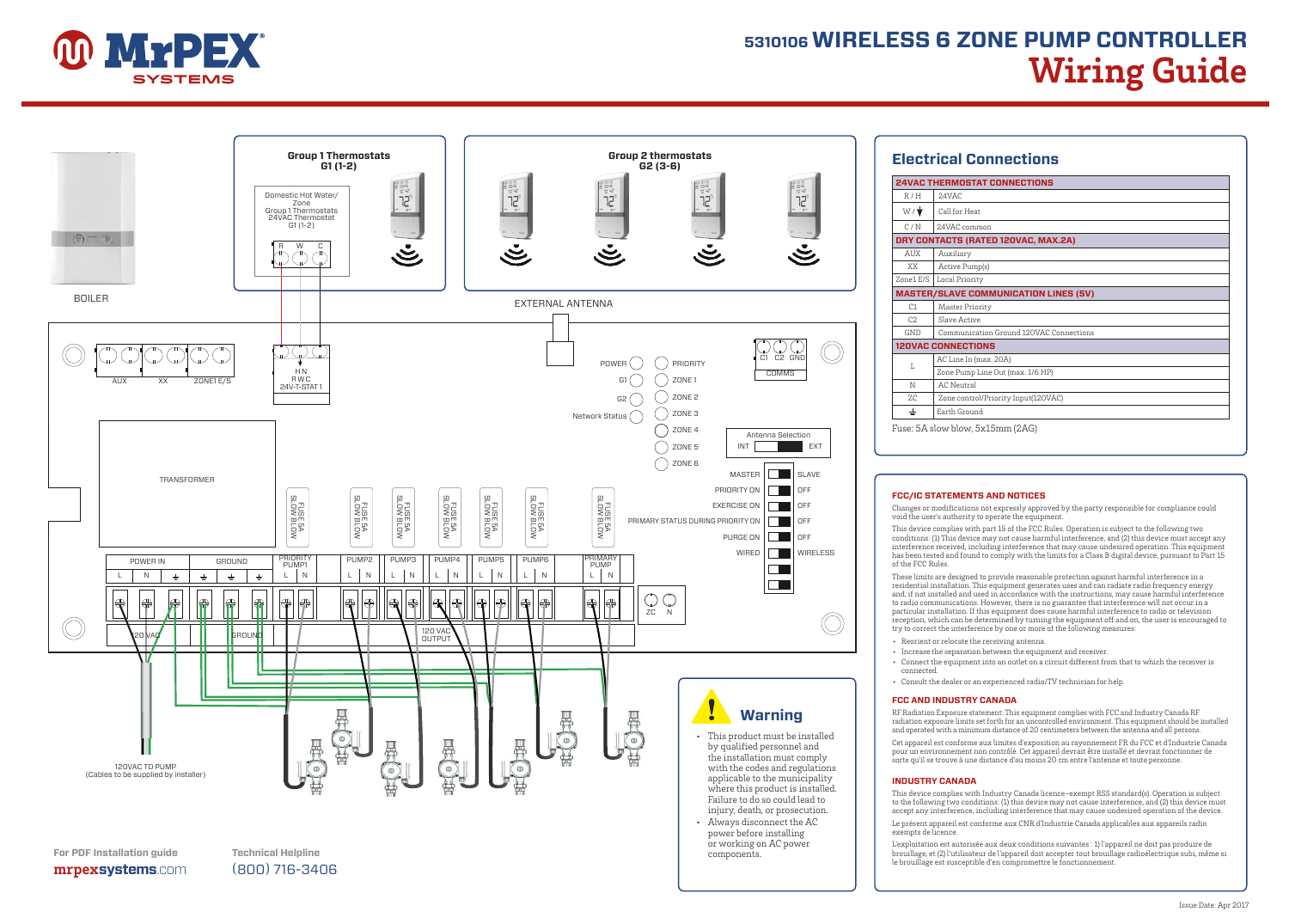

# **5310106 WIRELESS 6 ZONE PUMP CONTROLLER Wiring Guide**



| <b>24VAC THERMOSTAT CONNECTIONS</b> |                                              |  |  |  |  |
|-------------------------------------|----------------------------------------------|--|--|--|--|
| R/H                                 | 24VAC                                        |  |  |  |  |
| $W/\sqrt{2}$                        | Call for Heat                                |  |  |  |  |
| C/N                                 | 24VAC common                                 |  |  |  |  |
| DRY CONTACTS (RATED 120VAC, MAX.2A) |                                              |  |  |  |  |
| AUX                                 | Auxiliary                                    |  |  |  |  |
| XX.                                 | Active Pump(s)                               |  |  |  |  |
| Zone1 E/S                           | Local Priority                               |  |  |  |  |
|                                     | <b>MASTER/SLAVE COMMUNICATION LINES (5V)</b> |  |  |  |  |
| C1                                  | Master Priority                              |  |  |  |  |
| C2                                  | Slave Active                                 |  |  |  |  |
| <b>GND</b>                          | Communication Ground 120VAC Connections      |  |  |  |  |
|                                     | <b>120VAC CONNECTIONS</b>                    |  |  |  |  |
| T.                                  | AC Line In (max. 20A)                        |  |  |  |  |
|                                     | Zone Pump Line Out (max. 1/6 HP)             |  |  |  |  |
| N                                   | AC Neutral                                   |  |  |  |  |
| ZC.                                 | Zone control/Priority Input(120VAC)          |  |  |  |  |
| ±                                   | Earth Ground                                 |  |  |  |  |

#### **FCC/IC STATEMENTS AND NOTICES**

Changes or modifications not expressly approved by the party responsible for compliance could void the user's authority to operate the equipment.

This device complies with part 15 of the FCC Rules. Operation is subject to the following two conditions: (1) This device may not cause harmful interference, and (2) this device must accept any interference received, including interference that may cause undesired operation. This equipment has been tested and found to comply with the limits for a Class B digital device, pursuant to Part 15 of the FCC Rules.

These limits are designed to provide reasonable protection against harmful interference in a residential installation. This equipment generates uses and can radiate radio frequency energy and, if not installed and used in accordance with the instructions, may cause harmful interference to radio communications. However, there is no guarantee that interference will not occur in a particular installation. If this equipment does cause harmful interference to radio or television reception, which can be determined by turning the equipment off and on, the user is encouraged to try to correct the interference by one or more of the following measures:

- Reorient or relocate the receiving antenna.
- Increase the separation between the equipment and receiver.
- Connect the equipment into an outlet on a circuit different from that to which the receiver is connected.
- Consult the dealer or an experienced radio/TV technician for help.

#### **FCC AND INDUSTRY CANADA**

RF Radiation Exposure statement: This equipment complies with FCC and Industry Canada RF radiation exposure limits set forth for an uncontrolled environment. This equipment should be installed and operated with a minimum distance of 20 centimeters between the antenna and all persons.

Cet appareil est conforme aux limites d'exposition au rayonnement FR du FCC et d'Industrie Canada pour un environnement non contrôlé. Cet appareil devrait être installé et devrait fonctionner de sorte qu'il se trouve à une distance d'au moins 20 cm entre l'antenne et toute personne.

#### **INDUSTRY CANADA**

This device complies with Industry Canada licence-exempt RSS standard(s). Operation is subject to the following two conditions: (1) this device may not cause interference, and (2) this device must accept any interference, including interference that may cause undesired operation of the device.

Le présent appareil est conforme aux CNR d'Industrie Canada applicables aux appareils radio exempts de licence.

L'exploitation est autorisée aux deux conditions suivantes : 1) l'appareil ne doit pas produire de brouillage, et (2) l'utilisateur de l'appareil doit accepter tout brouillage radioélectrique subi, même si le brouillage est susceptible d'en compromettre le fonctionnement.